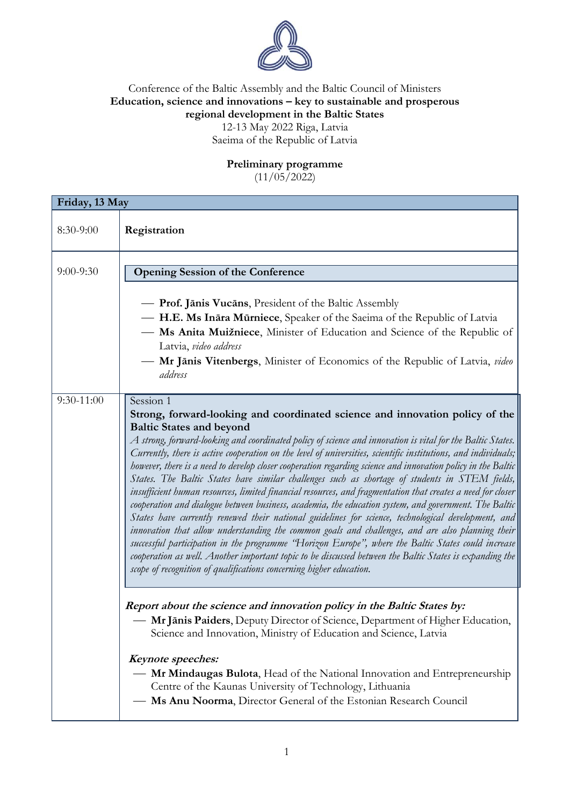

## Conference of the Baltic Assembly and the Baltic Council of Ministers **Education, science and innovations – key to sustainable and prosperous regional development in the Baltic States** 12-13 May 2022 Riga, Latvia Saeima of the Republic of Latvia

## **Preliminary programme**

 $(11/05/2022)$ 

| Friday, 13 May |                                                                                                                                                                                                                                                                                                                                                                                                                                                                                                                                                                                                                                                                                                                                                                                                                                                                                                                                                                                                                                                                                                                                                                                                                                                                                                             |  |
|----------------|-------------------------------------------------------------------------------------------------------------------------------------------------------------------------------------------------------------------------------------------------------------------------------------------------------------------------------------------------------------------------------------------------------------------------------------------------------------------------------------------------------------------------------------------------------------------------------------------------------------------------------------------------------------------------------------------------------------------------------------------------------------------------------------------------------------------------------------------------------------------------------------------------------------------------------------------------------------------------------------------------------------------------------------------------------------------------------------------------------------------------------------------------------------------------------------------------------------------------------------------------------------------------------------------------------------|--|
| $8:30-9:00$    | Registration                                                                                                                                                                                                                                                                                                                                                                                                                                                                                                                                                                                                                                                                                                                                                                                                                                                                                                                                                                                                                                                                                                                                                                                                                                                                                                |  |
| $9:00 - 9:30$  | <b>Opening Session of the Conference</b>                                                                                                                                                                                                                                                                                                                                                                                                                                                                                                                                                                                                                                                                                                                                                                                                                                                                                                                                                                                                                                                                                                                                                                                                                                                                    |  |
|                | — Prof. Jānis Vucāns, President of the Baltic Assembly<br>- H.E. Ms Ināra Mūrniece, Speaker of the Saeima of the Republic of Latvia<br>- Ms Anita Muižniece, Minister of Education and Science of the Republic of<br>Latvia, video address<br>- Mr Jānis Vitenbergs, Minister of Economics of the Republic of Latvia, video<br>address                                                                                                                                                                                                                                                                                                                                                                                                                                                                                                                                                                                                                                                                                                                                                                                                                                                                                                                                                                      |  |
| $9:30-11:00$   | Session 1<br>Strong, forward-looking and coordinated science and innovation policy of the<br><b>Baltic States and beyond</b><br>$A$ strong, forward-looking and coordinated policy of science and innovation is vital for the Baltic States.<br>Currently, there is active cooperation on the level of universities, scientific institutions, and individuals;<br>however, there is a need to develop closer cooperation regarding science and innovation policy in the Baltic<br>States. The Baltic States have similar challenges such as shortage of students in STEM fields,<br>insufficient human resources, limited financial resources, and fragmentation that creates a need for closer<br>cooperation and dialogue between business, academia, the education system, and government. The Baltic<br>States have currently renewed their national guidelines for science, technological development, and<br>innovation that allow understanding the common goals and challenges, and are also planning their<br>successful participation in the programme "Horizon Europe", where the Baltic States could increase<br>cooperation as well. Another important topic to be discussed between the Baltic States is expanding the<br>scope of recognition of qualifications concerning higher education. |  |
|                | Report about the science and innovation policy in the Baltic States by:<br>- Mr Jānis Paiders, Deputy Director of Science, Department of Higher Education,<br>Science and Innovation, Ministry of Education and Science, Latvia                                                                                                                                                                                                                                                                                                                                                                                                                                                                                                                                                                                                                                                                                                                                                                                                                                                                                                                                                                                                                                                                             |  |
|                | Keynote speeches:<br>- Mr Mindaugas Bulota, Head of the National Innovation and Entrepreneurship<br>Centre of the Kaunas University of Technology, Lithuania<br>Ms Anu Noorma, Director General of the Estonian Research Council                                                                                                                                                                                                                                                                                                                                                                                                                                                                                                                                                                                                                                                                                                                                                                                                                                                                                                                                                                                                                                                                            |  |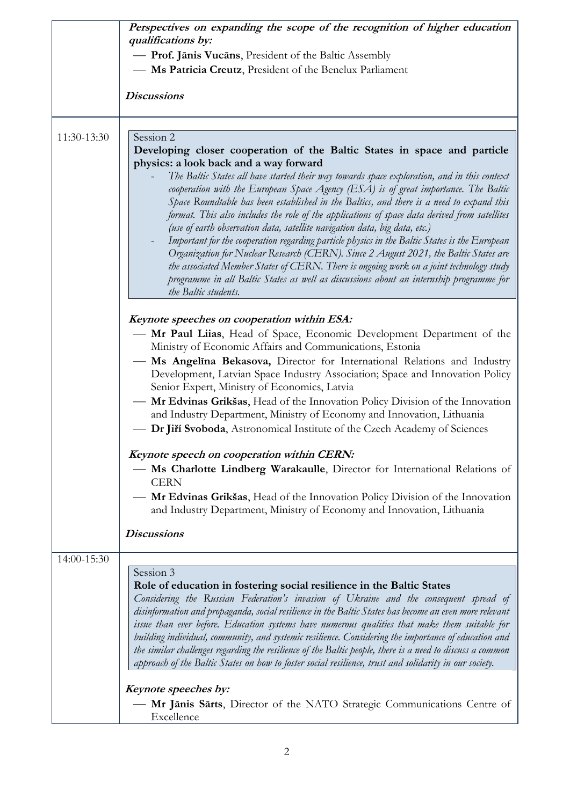|             | Perspectives on expanding the scope of the recognition of higher education<br>qualifications by:                                                                                                                                                                                                                                                                                                                                                                                                                                                                                                                                                                                                                                                                                                                                                                                                                                                                                           |
|-------------|--------------------------------------------------------------------------------------------------------------------------------------------------------------------------------------------------------------------------------------------------------------------------------------------------------------------------------------------------------------------------------------------------------------------------------------------------------------------------------------------------------------------------------------------------------------------------------------------------------------------------------------------------------------------------------------------------------------------------------------------------------------------------------------------------------------------------------------------------------------------------------------------------------------------------------------------------------------------------------------------|
|             | - Prof. Jānis Vucāns, President of the Baltic Assembly<br>- Ms Patricia Creutz, President of the Benelux Parliament                                                                                                                                                                                                                                                                                                                                                                                                                                                                                                                                                                                                                                                                                                                                                                                                                                                                        |
|             |                                                                                                                                                                                                                                                                                                                                                                                                                                                                                                                                                                                                                                                                                                                                                                                                                                                                                                                                                                                            |
|             | <b>Discussions</b>                                                                                                                                                                                                                                                                                                                                                                                                                                                                                                                                                                                                                                                                                                                                                                                                                                                                                                                                                                         |
| 11:30-13:30 | Session 2                                                                                                                                                                                                                                                                                                                                                                                                                                                                                                                                                                                                                                                                                                                                                                                                                                                                                                                                                                                  |
|             | Developing closer cooperation of the Baltic States in space and particle<br>physics: a look back and a way forward<br>The Baltic States all have started their way towards space exploration, and in this context<br>cooperation with the European Space Agency (ESA) is of great importance. The Baltic<br>Space Roundtable has been established in the Baltics, and there is a need to expand this<br>format. This also includes the role of the applications of space data derived from satellites<br>(use of earth observation data, satellite navigation data, big data, etc.)<br>Important for the cooperation regarding particle physics in the Baltic States is the European<br>Organization for Nuclear Research (CERN). Since 2 August 2021, the Baltic States are<br>the associated Member States of CERN. There is ongoing work on a joint technology study<br>programme in all Baltic States as well as discussions about an internship programme for<br>the Baltic students. |
|             | Keynote speeches on cooperation within ESA:                                                                                                                                                                                                                                                                                                                                                                                                                                                                                                                                                                                                                                                                                                                                                                                                                                                                                                                                                |
|             | - Mr Paul Liias, Head of Space, Economic Development Department of the<br>Ministry of Economic Affairs and Communications, Estonia<br>Ms Angelina Bekasova, Director for International Relations and Industry<br>Development, Latvian Space Industry Association; Space and Innovation Policy<br>Senior Expert, Ministry of Economics, Latvia                                                                                                                                                                                                                                                                                                                                                                                                                                                                                                                                                                                                                                              |
|             | Mr Edvinas Grikšas, Head of the Innovation Policy Division of the Innovation<br>and Industry Department, Ministry of Economy and Innovation, Lithuania<br>Dr Jiří Svoboda, Astronomical Institute of the Czech Academy of Sciences                                                                                                                                                                                                                                                                                                                                                                                                                                                                                                                                                                                                                                                                                                                                                         |
|             | Keynote speech on cooperation within CERN:<br>Ms Charlotte Lindberg Warakaulle, Director for International Relations of                                                                                                                                                                                                                                                                                                                                                                                                                                                                                                                                                                                                                                                                                                                                                                                                                                                                    |
|             | <b>CERN</b><br>Mr Edvinas Grikšas, Head of the Innovation Policy Division of the Innovation<br>and Industry Department, Ministry of Economy and Innovation, Lithuania                                                                                                                                                                                                                                                                                                                                                                                                                                                                                                                                                                                                                                                                                                                                                                                                                      |
|             | <b>Discussions</b>                                                                                                                                                                                                                                                                                                                                                                                                                                                                                                                                                                                                                                                                                                                                                                                                                                                                                                                                                                         |
| 14:00-15:30 |                                                                                                                                                                                                                                                                                                                                                                                                                                                                                                                                                                                                                                                                                                                                                                                                                                                                                                                                                                                            |
|             | Session 3<br>Role of education in fostering social resilience in the Baltic States<br>Considering the Russian Federation's invasion of Ukraine and the consequent spread of<br>disinformation and propaganda, social resilience in the Baltic States has become an even more relevant<br>issue than ever before. Education systems have numerous qualities that make them suitable for<br>building individual, community, and systemic resilience. Considering the importance of education and<br>the similar challenges regarding the resilience of the Baltic people, there is a need to discuss a common<br>approach of the Baltic States on how to foster social resilience, trust and solidarity in our society.                                                                                                                                                                                                                                                                      |
|             | Keynote speeches by:<br>Mr Jānis Sārts, Director of the NATO Strategic Communications Centre of<br>Excellence                                                                                                                                                                                                                                                                                                                                                                                                                                                                                                                                                                                                                                                                                                                                                                                                                                                                              |